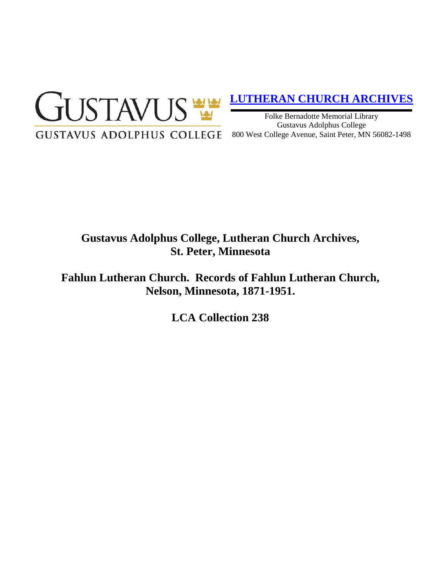

# **[LUTHERAN CHURCH ARCHIVES](http://gustavus.edu/academics/library/archives/)**

Folke Bernadotte Memorial Library Gustavus Adolphus College 800 West College Avenue, Saint Peter, MN 56082-1498

## **Gustavus Adolphus College, Lutheran Church Archives, St. Peter, Minnesota**

**Fahlun Lutheran Church. Records of Fahlun Lutheran Church, Nelson, Minnesota, 1871-1951.**

**LCA Collection 238**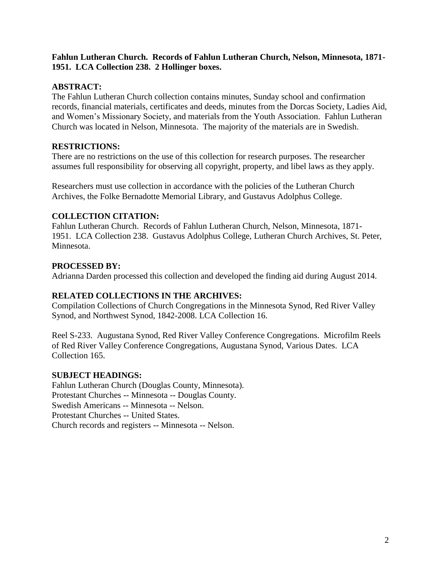## **Fahlun Lutheran Church. Records of Fahlun Lutheran Church, Nelson, Minnesota, 1871- 1951. LCA Collection 238. 2 Hollinger boxes.**

## **ABSTRACT:**

The Fahlun Lutheran Church collection contains minutes, Sunday school and confirmation records, financial materials, certificates and deeds, minutes from the Dorcas Society, Ladies Aid, and Women's Missionary Society, and materials from the Youth Association. Fahlun Lutheran Church was located in Nelson, Minnesota. The majority of the materials are in Swedish.

#### **RESTRICTIONS:**

There are no restrictions on the use of this collection for research purposes. The researcher assumes full responsibility for observing all copyright, property, and libel laws as they apply.

Researchers must use collection in accordance with the policies of the Lutheran Church Archives, the Folke Bernadotte Memorial Library, and Gustavus Adolphus College.

## **COLLECTION CITATION:**

Fahlun Lutheran Church. Records of Fahlun Lutheran Church, Nelson, Minnesota, 1871- 1951. LCA Collection 238. Gustavus Adolphus College, Lutheran Church Archives, St. Peter, Minnesota.

## **PROCESSED BY:**

Adrianna Darden processed this collection and developed the finding aid during August 2014.

## **RELATED COLLECTIONS IN THE ARCHIVES:**

Compilation Collections of Church Congregations in the Minnesota Synod, Red River Valley Synod, and Northwest Synod, 1842-2008. LCA Collection 16.

Reel S-233. Augustana Synod, Red River Valley Conference Congregations. Microfilm Reels of Red River Valley Conference Congregations, Augustana Synod, Various Dates. LCA Collection 165.

#### **SUBJECT HEADINGS:**

Fahlun Lutheran Church (Douglas County, Minnesota). Protestant Churches -- Minnesota -- Douglas County. Swedish Americans -- Minnesota -- Nelson. Protestant Churches -- United States. Church records and registers -- Minnesota -- Nelson.